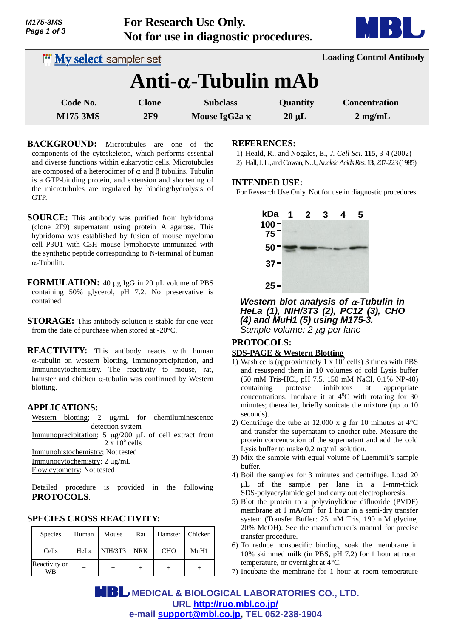| M175-3MS<br>Page 1 of 3      | For Research Use Only.<br>Not for use in diagnostic procedures. |                            |            | MBI U                           |
|------------------------------|-----------------------------------------------------------------|----------------------------|------------|---------------------------------|
| <b>My select sampler set</b> |                                                                 |                            |            | <b>Loading Control Antibody</b> |
|                              |                                                                 | $Anti-\alpha$ -Tubulin mAb |            |                                 |
| Code No.                     | <b>Clone</b>                                                    | <b>Subclass</b>            | Quantity   | <b>Concentration</b>            |
| <b>M175-3MS</b>              | 2F9                                                             | Mouse IgG2a $\kappa$       | $20 \mu L$ | $2$ mg/mL                       |

- **BACKGROUND:** Microtubules are one of the components of the cytoskeleton, which performs essential and diverse functions within eukaryotic cells. Microtubules are composed of a heterodimer of  $\alpha$  and  $\beta$  tubulins. Tubulin is a GTP-binding protein, and extension and shortening of the microtubules are regulated by binding/hydrolysis of GTP.
- **SOURCE:** This antibody was purified from hybridoma (clone 2F9) supernatant using protein A agarose. This hybridoma was established by fusion of mouse myeloma cell P3U1 with C3H mouse lymphocyte immunized with the synthetic peptide corresponding to N-terminal of human  $\alpha$ -Tubulin.
- **FORMULATION:** 40 µg IgG in 20 µL volume of PBS containing 50% glycerol, pH 7.2. No preservative is contained.
- **STORAGE:** This antibody solution is stable for one year from the date of purchase when stored at -20°C.

**REACTIVITY:** This antibody reacts with human  $\alpha$ -tubulin on western blotting, Immunoprecipitation, and Immunocytochemistry. The reactivity to mouse, rat, hamster and chicken  $\alpha$ -tubulin was confirmed by Western blotting.

#### **APPLICATIONS:**

Western blotting;  $2 \mu g/mL$  for chemiluminescence detection system Immunoprecipitation; 5  $\mu$ g/200  $\mu$ L of cell extract from  $2 \times 10^6$  cells Immunohistochemistry; Not tested

Immunocytochemistry; 2 ug/mL Flow cytometry; Not tested

Detailed procedure is provided in the following **PROTOCOLS**.

## Species | Human | Mouse | Rat | Hamster | Chicken Cells | HeLa NIH/3T3 NRK CHO MuH1 Reactivity on WB <sup>+</sup> <sup>+</sup> <sup>+</sup> <sup>+</sup> <sup>+</sup>

# **REFERENCES:**

1) Heald, R., and Nogales, E., *J. Cell Sci*. **115**, 3-4 (2002)

2) Hall,J.L., and Cowan,N. J.,*Nucleic Acids Res.***13**, 207-223 (1985)

### **INTENDED USE:**

For Research Use Only. Not for use in diagnostic procedures.



*Western blot analysis of α-Tubulin in HeLa (1), NIH/3T3 (2), PC12 (3), CHO (4) and MuH1 (5) using M175-3. Sample volume: 2 µg per lane* 

#### **PROTOCOLS: SDS-PAGE & Western Blotting**

- 1) Wash cells (approximately 1 x  $10^7$  cells) 3 times with PBS and resuspend them in 10 volumes of cold Lysis buffer  $(50 \text{ mM Tris-HCl, pH } 7.5, 150 \text{ mM NaCl, } 0.1\% \text{ NP-}40)$ <br>containing protease inhibitors at appropriate containing protease inhibitors at appropriate concentrations. Incubate it at  $4^{\circ}$ C with rotating for 30 minutes; thereafter, briefly sonicate the mixture (up to 10 seconds).
- 2) Centrifuge the tube at 12,000 x g for 10 minutes at 4°C and transfer the supernatant to another tube. Measure the protein concentration of the supernatant and add the cold Lysis buffer to make 0.2 mg/mL solution.
- 3) Mix the sample with equal volume of Laemmli's sample buffer.
- 4) Boil the samples for 3 minutes and centrifuge. Load 20 L of the sample per lane in a 1-mm-thick SDS-polyacrylamide gel and carry out electrophoresis.
- 5) Blot the protein to a polyvinylidene difluoride (PVDF) membrane at 1 mA/cm<sup>2</sup> for 1 hour in a semi-dry transfer system (Transfer Buffer: 25 mM Tris, 190 mM glycine, 20% MeOH). See the manufacturer's manual for precise transfer procedure.
- 6) To reduce nonspecific binding, soak the membrane in 10% skimmed milk (in PBS, pH 7.2) for 1 hour at room temperature, or overnight at 4°C.
- 7) Incubate the membrane for 1 hour at room temperature

 **MEDICAL & BIOLOGICAL LABORATORIES CO., LTD. URL http://ruo.mbl.co.jp/ e-mail support@mbl.co.jp, TEL 052-238-1904**

## **SPECIES CROSS REACTIVITY:**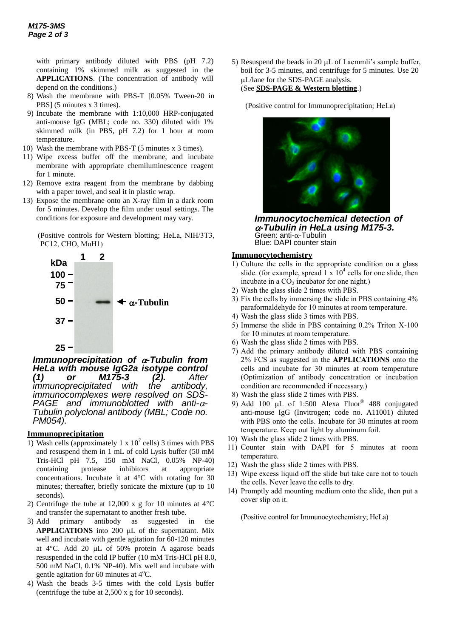with primary antibody diluted with PBS (pH 7.2) containing 1% skimmed milk as suggested in the **APPLICATIONS**. (The concentration of antibody will depend on the conditions.)

- 8) Wash the membrane with PBS-T [0.05% Tween-20 in PBS] (5 minutes x 3 times).
- 9) Incubate the membrane with 1:10,000 HRP-conjugated anti-mouse IgG (MBL; code no. 330) diluted with 1% skimmed milk (in PBS, pH 7.2) for 1 hour at room temperature.
- 10) Wash the membrane with PBS-T (5 minutes x 3 times).
- 11) Wipe excess buffer off the membrane, and incubate membrane with appropriate chemiluminescence reagent for 1 minute.
- 12) Remove extra reagent from the membrane by dabbing with a paper towel, and seal it in plastic wrap.
- 13) Expose the membrane onto an X-ray film in a dark room for 5 minutes. Develop the film under usual settings. The conditions for exposure and development may vary.

(Positive controls for Western blotting; HeLa, NIH/3T3,



*Immunoprecipitation of*  $\alpha$ *-Tubulin from HeLa with mouse IgG2a isotype control (1) or M175-3 (2). After immunoprecipitated with the antibody, immunocomplexes were resolved on SDS-PAGE and immunoblotted with anti-- Tubulin polyclonal antibody (MBL; Code no. PM054).* 

#### **Immunoprecipitation**

- 1) Wash cells (approximately 1 x  $10^7$  cells) 3 times with PBS and resuspend them in 1 mL of cold Lysis buffer (50 mM Tris-HCl pH 7.5, 150 mM NaCl, 0.05% NP-40) containing protease inhibitors at appropriate concentrations. Incubate it at 4°C with rotating for 30 minutes; thereafter, briefly sonicate the mixture (up to 10 seconds).
- 2) Centrifuge the tube at 12,000 x g for 10 minutes at  $4^{\circ}$ C and transfer the supernatant to another fresh tube.
- 3) Add primary antibody as suggested in the **APPLICATIONS** into 200  $\mu$ L of the supernatant. Mix well and incubate with gentle agitation for 60-120 minutes at  $4^{\circ}$ C. Add 20 µL of 50% protein A agarose beads resuspended in the cold IP buffer (10 mM Tris-HCl pH 8.0, 500 mM NaCl, 0.1% NP-40). Mix well and incubate with gentle agitation for 60 minutes at  $4^{\circ}$ C.
- 4) Wash the beads 3-5 times with the cold Lysis buffer (centrifuge the tube at 2,500 x g for 10 seconds).

5) Resuspend the beads in 20  $\mu$ L of Laemmli's sample buffer, boil for 3-5 minutes, and centrifuge for 5 minutes. Use 20 L/lane for the SDS-PAGE analysis. (See **SDS-PAGE & Western blotting**.)

(Positive control for Immunoprecipitation; HeLa)



*Immunocytochemical detection of*   $\alpha$ -Tubulin in HeLa using M175-3. Green: anti- $\alpha$ -Tubulin Blue: DAPI counter stain

#### **Immunocytochemistry**

- 1) Culture the cells in the appropriate condition on a glass slide. (for example, spread  $1 \times 10^4$  cells for one slide, then incubate in a  $CO<sub>2</sub>$  incubator for one night.)
- 2) Wash the glass slide 2 times with PBS.
- 3) Fix the cells by immersing the slide in PBS containing 4% paraformaldehyde for 10 minutes at room temperature.
- 4) Wash the glass slide 3 times with PBS.
- 5) Immerse the slide in PBS containing 0.2% Triton X-100 for 10 minutes at room temperature.
- 6) Wash the glass slide 2 times with PBS.
- 7) Add the primary antibody diluted with PBS containing 2% FCS as suggested in the **APPLICATIONS** onto the cells and incubate for 30 minutes at room temperature (Optimization of antibody concentration or incubation condition are recommended if necessary.)
- 8) Wash the glass slide 2 times with PBS.
- 9) Add 100 µL of 1:500 Alexa Fluor® 488 conjugated anti-mouse IgG (Invitrogen; code no. A11001) diluted with PBS onto the cells. Incubate for 30 minutes at room temperature. Keep out light by aluminum foil.
- 10) Wash the glass slide 2 times with PBS.
- 11) Counter stain with DAPI for 5 minutes at room temperature.
- 12) Wash the glass slide 2 times with PBS.
- 13) Wipe excess liquid off the slide but take care not to touch the cells. Never leave the cells to dry.
- 14) Promptly add mounting medium onto the slide, then put a cover slip on it.

(Positive control for Immunocytochemistry; HeLa)